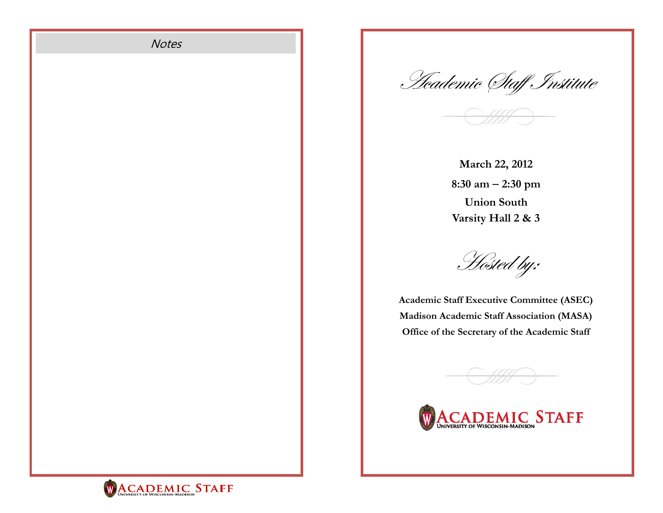

<u>'Heademic (Itaff Institute</u>

**March 22, 2012 8:30 am 2:30 pm Union South Varsity Hall 2 & 3** 

Hosted by:

**Academic Staff Executive Committee (ASEC) Madison Academic Staff Association (MASA) Office of the Secretary of the Academic Staff**



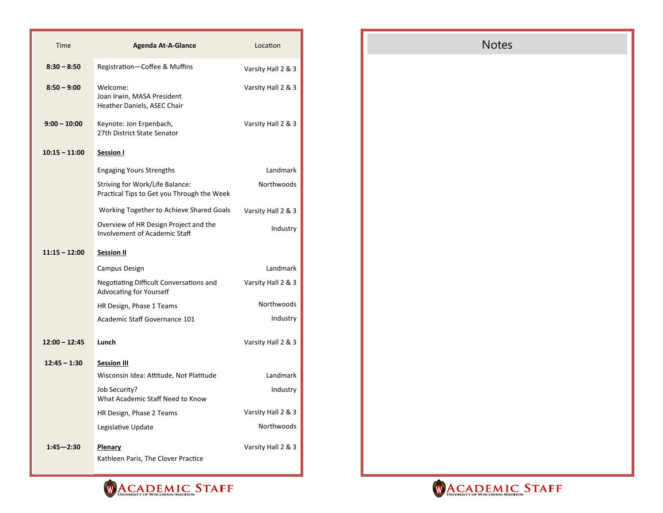| Time            | <b>Agenda At-A-Glance</b>                                                     | Location           |
|-----------------|-------------------------------------------------------------------------------|--------------------|
| $8:30 - 8:50$   | Registration-Coffee & Muffins                                                 | Varsity Hall 2 & 3 |
| $8:50 - 9:00$   | Welcome:<br>Joan Irwin, MASA President<br>Heather Daniels, ASEC Chair         | Varsity Hall 2 & 3 |
| $9:00 - 10:00$  | Keynote: Jon Erpenbach,<br>27th District State Senator                        | Varsity Hall 2 & 3 |
| $10:15 - 11:00$ | <b>Session I</b>                                                              |                    |
|                 | <b>Engaging Yours Strengths</b>                                               | Landmark           |
|                 | Striving for Work/Life Balance:<br>Practical Tips to Get you Through the Week | Northwoods         |
|                 | Working Together to Achieve Shared Goals                                      | Varsity Hall 2 & 3 |
|                 | Overview of HR Design Project and the<br><b>Involvement of Academic Staff</b> | Industry           |
| $11:15 - 12:00$ | <b>Session II</b>                                                             |                    |
|                 | Campus Design                                                                 | Landmark           |
|                 | Negotiating Difficult Conversations and<br>Advocating for Yourself            | Varsity Hall 2 & 3 |
|                 | HR Design, Phase 1 Teams                                                      | Northwoods         |
|                 | Academic Staff Governance 101                                                 | Industry           |
| $12:00 - 12:45$ | Lunch                                                                         | Varsity Hall 2 & 3 |
| $12:45 - 1:30$  | <b>Session III</b>                                                            |                    |
|                 | Wisconsin Idea: Attitude, Not Platitude                                       | Landmark           |
|                 | Job Security?<br>What Academic Staff Need to Know                             | Industry           |
|                 | HR Design, Phase 2 Teams                                                      | Varsity Hall 2 & 3 |
|                 | Legislative Update                                                            | Northwoods         |
| $1:45 - 2:30$   | Plenary<br>Kathleen Paris, The Clover Practice                                | Varsity Hall 2 & 3 |





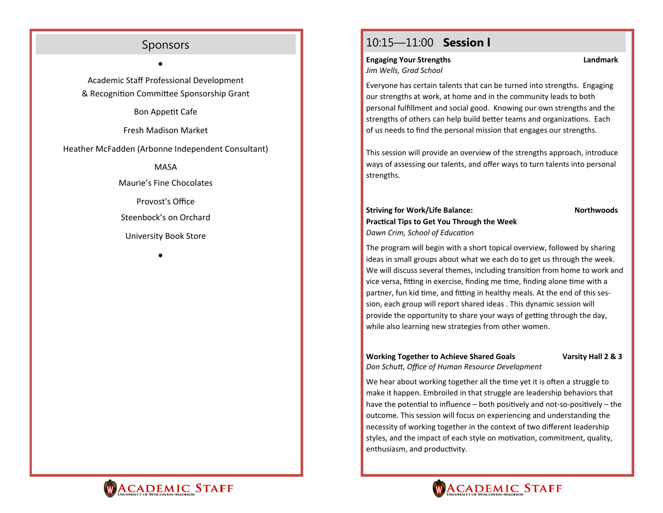## Sponsors

 $\bullet$ 

Academic Staff Professional Development & Recognition Committee Sponsorship Grant

Bon AppeƟ<sup>t</sup> Cafe

Fresh Madison Market

Heather McFadden (Arbonne Independent Consultant)

MASA

Maurie's Fine Chocolates

Provost's Office

Steenbock's on Orchard

University Book Store

 $\bullet$ 

## 10:15—11:00 **Session l**

**Engaging Your Strengths Landmark**  *Jim Wells, Grad School*

Everyone has certain talents that can be turned into strengths. Engaging our strengths at work, at home and in the community leads to both personal fulfillment and social good. Knowing our own strengths and the strengths of others can help build better teams and organizations. Each of us needs to find the personal mission that engages our strengths.

This session will provide an overview of the strengths approach, introduce ways of assessing our talents, and <sup>o</sup>ffer ways to turn talents into personal strengths.

#### **Striving for Work/Life Balance:** Northwoods **PracƟcal Tips to Get You Through the Week**  *Dawn Crim, School of EducaƟon*

The program will begin with <sup>a</sup> short topical overview, followed by sharing ideas in small groups about what we each do to get us through the week. We will discuss several themes, including transition from home to work and vice versa, fitting in exercise, finding me time, finding alone time with a partner, fun kid time, and fitting in healthy meals. At the end of this session, each group will report shared ideas . This dynamic session will provide the opportunity to share your ways of getting through the day, while also learning new strategies from other women.

# **Working Together to Achieve Shared Goals Varsity Hall 2 & 3**

*Don SchuƩ, Office of Human Resource Development*

We hear about working together all the time yet it is often a struggle to make it happen. Embroiled in that struggle are leadership behaviors that have the potential to influence – both positively and not-so-positively – the outcome. This session will focus on experiencing and understanding the necessity of working together in the context of two different leadership styles, and the impact of each style on motivation, commitment, quality, enthusiasm, and productivity.



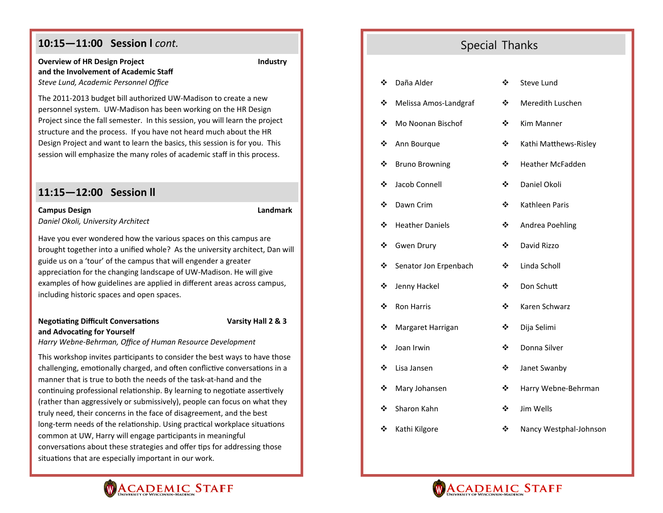## **10:15—11:00 Session l** *cont.*

#### **Overview of HR Design Project COVERTY Industry Research Article State Industry and the Involvement of Academic Staff***Steve Lund, Academic Personnel Office*

The 2011-2013 budget bill authorized UW-Madison to create <sup>a</sup> new personnel system. UW-Madison has been working on the HR Design Project since the fall semester. In this session, you will learn the project structure and the process. If you have not heard much about the HR Design Project and want to learn the basics, this session is for you. This session will emphasize the many roles of academic staff in this process.

#### **11:15—12:00 Session ll**

#### **Campus Design Campus Design Campus Design Campus Design Campus Design Campus Design Campus Design Campus Design Campus Design Campus Design Campus Design Campus Design Campus Design Campus Design Campus Design Campus Desi**

*Daniel Okoli, University Architect*

Have you ever wondered how the various spaces on this campus are brought together into <sup>a</sup> unified whole? As the university architect, Dan will guide us on <sup>a</sup> 'tour' of the campus that will engender <sup>a</sup> greater appreciation for the changing landscape of UW-Madison. He will give examples of how guidelines are applied in different areas across campus, including historic spaces and open spaces.

#### **NegoƟaƟng Difficult ConversaƟons Varsity Hall 2 & 3 and AdvocaƟng for Yourself**

*Harry Webne‐Behrman, Office of Human Resource Development*

This workshop invites participants to consider the best ways to have those challenging, emotionally charged, and often conflictive conversations in a manner that is true to both the needs of the task-at-hand and the continuing professional relationship. By learning to negotiate assertively (rather than aggressively or submissively), people can focus on what they truly need, their concerns in the face of disagreement, and the best long-term needs of the relationship. Using practical workplace situations common at UW, Harry will engage parƟcipants in meaningful conversations about these strategies and offer tips for addressing those situations that are especially important in our work.

## Special Thanks

| ❖ | Daña Alder             | ❖ | Steve Lund              |
|---|------------------------|---|-------------------------|
| ❖ | Melissa Amos-Landgraf  | ❖ | Meredith Luschen        |
| ❖ | Mo Noonan Bischof      | ❖ | Kim Manner              |
| ❖ | Ann Bourque            | ❖ | Kathi Matthews-Risley   |
| ❖ | <b>Bruno Browning</b>  | ❖ | <b>Heather McFadden</b> |
| ❖ | Jacob Connell          | ❖ | Daniel Okoli            |
| ❖ | Dawn Crim              | ❖ | Kathleen Paris          |
| ❖ | <b>Heather Daniels</b> | ❖ | Andrea Poehling         |
| ❖ | <b>Gwen Drury</b>      | ❖ | David Rizzo             |
| ❖ | Senator Jon Erpenbach  | ❖ | Linda Scholl            |
| ❖ | Jenny Hackel           | ❖ | Don Schutt              |
| ❖ | <b>Ron Harris</b>      | ❖ | Karen Schwarz           |
| ❖ | Margaret Harrigan      | ❖ | Dija Selimi             |
| ❖ | Joan Irwin             | ❖ | Donna Silver            |
| ❖ | Lisa Jansen            | ❖ | Janet Swanby            |
| ❖ | Mary Johansen          | ❖ | Harry Webne-Behrman     |
| ❖ | Sharon Kahn            | ❖ | Jim Wells               |
| ❖ | Kathi Kilgore          | ❖ | Nancy Westphal-Johnson  |



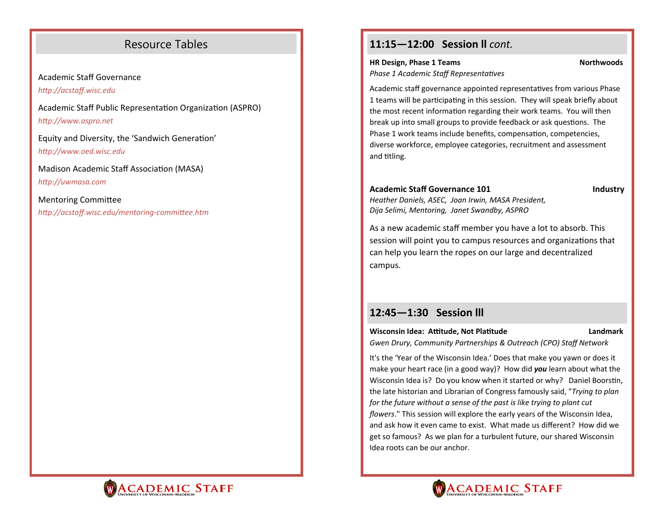## Resource Tables

Academic Staff Governance*hƩp://acstaff.wisc.edu*

Academic Staff Public Representation Organization (ASPRO) *hƩp://www.aspro.net* 

Equity and Diversity, the 'Sandwich Generation' *hƩp://www.oed.wisc.edu*

Madison Academic Staff Association (MASA) *hƩp://uwmasa.com* 

Mentoring Committee *hƩp://acstaff.wisc.edu/mentoring‐commiƩee.htm*

## **11:15—12:00 Session ll** *cont.*

#### **HR Design, Phase 1 Teams Northwoods** Northwoods

*Phase 1 Academic Staff Representatives* 

Academic staff governance appointed representatives from various Phase 1 teams will be participating in this session. They will speak briefly about the most recent information regarding their work teams. You will then break up into small groups to provide feedback or ask questions. The Phase 1 work teams include benefits, compensation, competencies, diverse workforce, employee categories, recruitment and assessment and titling.

#### Academic Staff Governance 101 **Industry Industry**

*Heather Daniels, ASEC, Joan Irwin, MASA President, Dija Selimi, Mentoring, Janet Swandby, ASPRO*

As a new academic staff member you have <sup>a</sup> lot to absorb. This session will point you to campus resources and organizations that can help you learn the ropes on our large and decentralized campus.

## **12:45—1:30 Session lll**

**Wisconsin Idea: Attitude, Not Platitude Landmark Landmark** 

*Gwen Drury, Community Partnerships & Outreach (CPO) Staff Network*

It's the 'Year of the Wisconsin Idea.' Does that make you yawn or does it make your heart race (in <sup>a</sup> good way)? How did *you* learn about what the Wisconsin Idea is? Do you know when it started or why? Daniel Boorstin, the late historian and Librarian of Congress famously said, "*Trying to plan for the future without a sense of the past is like trying to plant cut flowers*." This session will explore the early years of the Wisconsin Idea, and ask how it even came to exist. What made us different? How did we get so famous? As we plan for <sup>a</sup> turbulent future, our shared Wisconsin Idea roots can be our anchor.